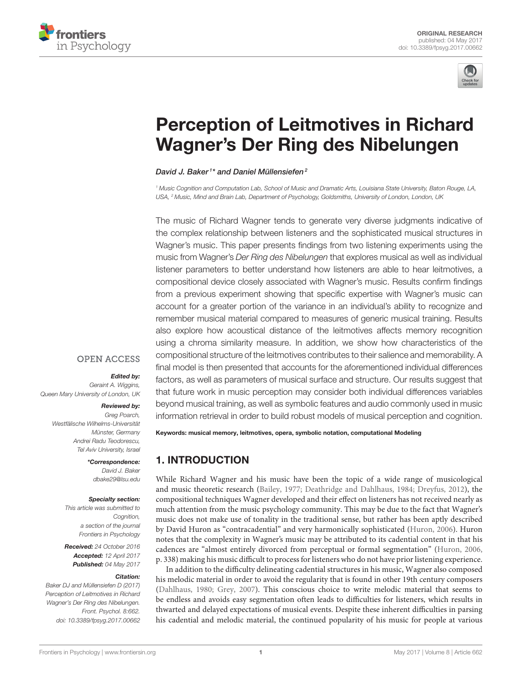



# [Perception of Leitmotives in Richard](http://journal.frontiersin.org/article/10.3389/fpsyg.2017.00662/abstract) Wagner's Der Ring des Nibelungen

#### [David J. Baker](http://loop.frontiersin.org/people/67726/overview)<sup>1\*</sup> and [Daniel Müllensiefen](http://loop.frontiersin.org/people/31327/overview)<sup>2</sup>

<sup>1</sup> Music Cognition and Computation Lab, School of Music and Dramatic Arts, Louisiana State University, Baton Rouge, LA, USA, <sup>2</sup> Music, Mind and Brain Lab, Department of Psychology, Goldsmiths, University of London, London, UK

The music of Richard Wagner tends to generate very diverse judgments indicative of the complex relationship between listeners and the sophisticated musical structures in Wagner's music. This paper presents findings from two listening experiments using the music from Wagner's Der Ring des Nibelungen that explores musical as well as individual listener parameters to better understand how listeners are able to hear leitmotives, a compositional device closely associated with Wagner's music. Results confirm findings from a previous experiment showing that specific expertise with Wagner's music can account for a greater portion of the variance in an individual's ability to recognize and remember musical material compared to measures of generic musical training. Results also explore how acoustical distance of the leitmotives affects memory recognition using a chroma similarity measure. In addition, we show how characteristics of the compositional structure of the leitmotives contributes to their salience and memorability. A final model is then presented that accounts for the aforementioned individual differences factors, as well as parameters of musical surface and structure. Our results suggest that that future work in music perception may consider both individual differences variables beyond musical training, as well as symbolic features and audio commonly used in music information retrieval in order to build robust models of musical perception and cognition.

#### **OPEN ACCESS**

#### Edited by:

Geraint A. Wiggins, Queen Mary University of London, UK

#### Reviewed by:

Greg Poarch, Westfälische Wilhelms-Universität Münster, Germany Andrei Radu Teodorescu, Tel Aviv University, Israel

> \*Correspondence: David J. Baker [dbake29@lsu.edu](mailto:dbake29@lsu.edu)

#### Specialty section:

This article was submitted to Cognition. a section of the journal Frontiers in Psychology

Received: 24 October 2016 Accepted: 12 April 2017 Published: 04 May 2017

#### Citation:

Baker DJ and Müllensiefen D (2017) Perception of Leitmotives in Richard Wagner's Der Ring des Nibelungen. Front. Psychol. 8:662. doi: [10.3389/fpsyg.2017.00662](https://doi.org/10.3389/fpsyg.2017.00662) Keywords: musical memory, leitmotives, opera, symbolic notation, computational Modeling

# 1. INTRODUCTION

While Richard Wagner and his music have been the topic of a wide range of musicological and music theoretic research [\(Bailey, 1977;](#page-7-0) [Deathridge and Dahlhaus, 1984;](#page-7-1) [Dreyfus, 2012\)](#page-7-2), the compositional techniques Wagner developed and their effect on listeners has not received nearly as much attention from the music psychology community. This may be due to the fact that Wagner's music does not make use of tonality in the traditional sense, but rather has been aptly described by David Huron as "contracadential" and very harmonically sophisticated [\(Huron, 2006\)](#page-8-0). Huron notes that the complexity in Wagner's music may be attributed to its cadential content in that his cadences are "almost entirely divorced from perceptual or formal segmentation" [\(Huron, 2006,](#page-8-0) p. 338) making his music difficult to process for listeners who do not have prior listening experience.

In addition to the difficulty delineating cadential structures in his music, Wagner also composed his melodic material in order to avoid the regularity that is found in other 19th century composers [\(Dahlhaus, 1980;](#page-7-3) [Grey, 2007\)](#page-8-1). This conscious choice to write melodic material that seems to be endless and avoids easy segmentation often leads to difficulties for listeners, which results in thwarted and delayed expectations of musical events. Despite these inherent difficulties in parsing his cadential and melodic material, the continued popularity of his music for people at various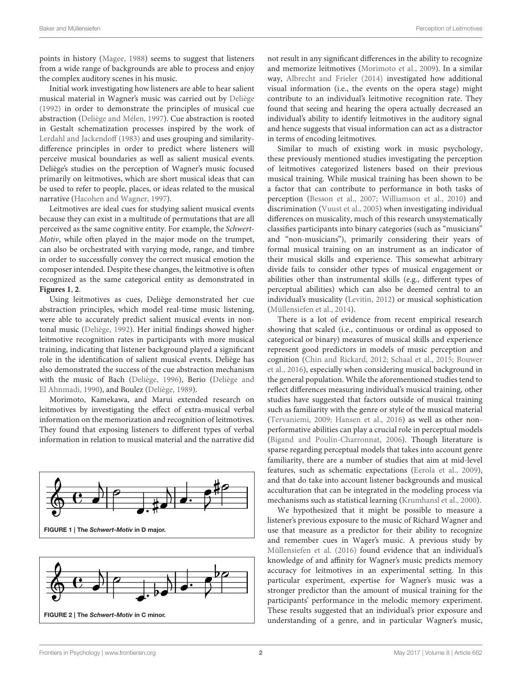points in history [\(Magee, 1988\)](#page-8-2) seems to suggest that listeners from a wide range of backgrounds are able to process and enjoy the complex auditory scenes in his music.

Initial work investigating how listeners are able to hear salient musical material in Wagner's music was carried out by [Deliège](#page-7-4) [\(1992\)](#page-7-4) in order to demonstrate the principles of musical cue abstraction [\(Deliège and Mélen, 1997\)](#page-7-5). Cue abstraction is rooted in Gestalt schematization processes inspired by the work of [Lerdahl and Jackendoff \(1983\)](#page-8-3) and uses grouping and similaritydifference principles in order to predict where listeners will perceive musical boundaries as well as salient musical events. Deliège's studies on the perception of Wagner's music focused primarily on leitmotives, which are short musical ideas that can be used to refer to people, places, or ideas related to the musical narrative [\(Hacohen and Wagner, 1997\)](#page-8-4).

Leitmotives are ideal cues for studying salient musical events because they can exist in a multitude of permutations that are all perceived as the same cognitive entity. For example, the Schwert-Motiv, while often played in the major mode on the trumpet, can also be orchestrated with varying mode, range, and timbre in order to successfully convey the correct musical emotion the composer intended. Despite these changes, the leitmotive is often recognized as the same categorical entity as demonstrated in **[Figures 1](#page-1-0)**, **[2](#page-1-1)**.

Using leitmotives as cues, Deliège demonstrated her cue abstraction principles, which model real-time music listening, were able to accurately predict salient musical events in nontonal music [\(Deliège, 1992\)](#page-7-4). Her initial findings showed higher leitmotive recognition rates in participants with more musical training, indicating that listener background played a significant role in the identification of salient musical events. Deliège has also demonstrated the success of the cue abstraction mechanism with the music of Bach [\(Deliège, 1996\)](#page-7-6), Berio (Deliège and El Ahnmadi, [1990\)](#page-7-7), and Boulez [\(Deliège, 1989\)](#page-7-8).

Morimoto, Kamekawa, and Marui extended research on leitmotives by investigating the effect of extra-musical verbal information on the memorization and recognition of leitmotives. They found that exposing listeners to different types of verbal information in relation to musical material and the narrative did



<span id="page-1-1"></span><span id="page-1-0"></span>

not result in any significant differences in the ability to recognize and memorize leitmotives [\(Morimoto et al., 2009\)](#page-8-5). In a similar way, [Albrecht and Frieler \(2014\)](#page-7-9) investigated how additional visual information (i.e., the events on the opera stage) might contribute to an individual's leitmotive recognition rate. They found that seeing and hearing the opera actually decreased an individual's ability to identify leitmotives in the auditory signal and hence suggests that visual information can act as a distractor in terms of encoding leitmotives.

Similar to much of existing work in music psychology, these previously mentioned studies investigating the perception of leitmotives categorized listeners based on their previous musical training. While musical training has been shown to be a factor that can contribute to performance in both tasks of perception [\(Besson et al., 2007;](#page-7-10) [Williamson et al., 2010\)](#page-8-6) and discrimination [\(Vuust et al., 2005\)](#page-8-7) when investigating individual differences on musicality, much of this research unsystematically classifies participants into binary categories (such as "musicians" and "non-musicians"), primarily considering their years of formal musical training on an instrument as an indicator of their musical skills and experience. This somewhat arbitrary divide fails to consider other types of musical engagement or abilities other than instrumental skills (e.g., different types of perceptual abilities) which can also be deemed central to an individual's musicality [\(Levitin, 2012\)](#page-8-8) or musical sophistication [\(Müllensiefen et al., 2014\)](#page-8-9).

There is a lot of evidence from recent empirical research showing that scaled (i.e., continuous or ordinal as opposed to categorical or binary) measures of musical skills and experience represent good predictors in models of music perception and cognition [\(Chin and Rickard, 2012;](#page-7-11) [Schaal et al., 2015;](#page-8-10) Bouwer et al., [2016\)](#page-7-12), especially when considering musical background in the general population. While the aforementioned studies tend to reflect differences measuring individual's musical training, other studies have suggested that factors outside of musical training such as familiarity with the genre or style of the musical material [\(Tervaniemi, 2009;](#page-8-11) [Hansen et al., 2016\)](#page-8-12) as well as other nonperformative abilities can play a crucial role in perceptual models [\(Bigand and Poulin-Charronnat, 2006\)](#page-7-13). Though literature is sparse regarding perceptual models that takes into account genre familiarity, there are a number of studies that aim at mid-level features, such as schematic expectations [\(Eerola et al., 2009\)](#page-7-14), and that do take into account listener backgrounds and musical acculturation that can be integrated in the modeling process via mechanisms such as statistical learning [\(Krumhansl et al., 2000\)](#page-8-13).

We hypothesized that it might be possible to measure a listener's previous exposure to the music of Richard Wagner and use that measure as a predictor for their ability to recognize and remember cues in Wager's music. A previous study by [Müllensiefen et al. \(2016\)](#page-8-14) found evidence that an individual's knowledge of and affinity for Wagner's music predicts memory accuracy for leitmotives in an experimental setting. In this particular experiment, expertise for Wagner's music was a stronger predictor than the amount of musical training for the participants' performance in the melodic memory experiment. These results suggested that an individual's prior exposure and understanding of a genre, and in particular Wagner's music,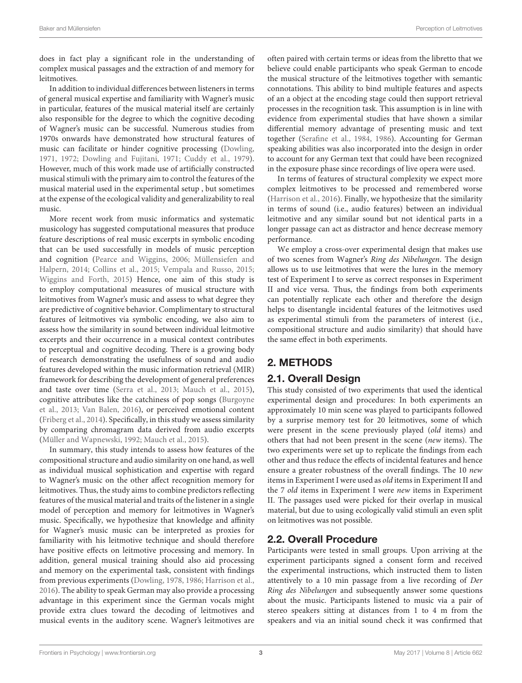does in fact play a significant role in the understanding of complex musical passages and the extraction of and memory for leitmotives.

In addition to individual differences between listeners in terms of general musical expertise and familiarity with Wagner's music in particular, features of the musical material itself are certainly also responsible for the degree to which the cognitive decoding of Wagner's music can be successful. Numerous studies from 1970s onwards have demonstrated how structural features of music can facilitate or hinder cognitive processing [\(Dowling,](#page-7-15) [1971,](#page-7-15) [1972;](#page-7-16) [Dowling and Fujitani, 1971;](#page-7-17) [Cuddy et al., 1979\)](#page-7-18). However, much of this work made use of artificially constructed musical stimuli with the primary aim to control the features of the musical material used in the experimental setup , but sometimes at the expense of the ecological validity and generalizability to real music.

More recent work from music informatics and systematic musicology has suggested computational measures that produce feature descriptions of real music excerpts in symbolic encoding that can be used successfully in models of music perception and cognition [\(Pearce and Wiggins, 2006;](#page-8-15) Müllensiefen and Halpern, [2014;](#page-8-16) [Collins et al., 2015;](#page-7-19) [Vempala and Russo, 2015;](#page-8-17) [Wiggins and Forth, 2015\)](#page-8-18) Hence, one aim of this study is to employ computational measures of musical structure with leitmotives from Wagner's music and assess to what degree they are predictive of cognitive behavior. Complimentary to structural features of leitmotives via symbolic encoding, we also aim to assess how the similarity in sound between individual leitmotive excerpts and their occurrence in a musical context contributes to perceptual and cognitive decoding. There is a growing body of research demonstrating the usefulness of sound and audio features developed within the music information retrieval (MIR) framework for describing the development of general preferences and taste over time [\(Serra et al., 2013;](#page-8-19) [Mauch et al., 2015\)](#page-8-20), cognitive attributes like the catchiness of pop songs (Burgoyne et al., [2013;](#page-7-20) [Van Balen, 2016\)](#page-8-21), or perceived emotional content [\(Friberg et al., 2014\)](#page-8-22). Specifically, in this study we assess similarity by comparing chromagram data derived from audio excerpts [\(Müller and Wapnewski, 1992;](#page-8-23) [Mauch et al., 2015\)](#page-8-20).

In summary, this study intends to assess how features of the compositional structure and audio similarity on one hand, as well as individual musical sophistication and expertise with regard to Wagner's music on the other affect recognition memory for leitmotives. Thus, the study aims to combine predictors reflecting features of the musical material and traits of the listener in a single model of perception and memory for leitmotives in Wagner's music. Specifically, we hypothesize that knowledge and affinity for Wagner's music music can be interpreted as proxies for familiarity with his leitmotive technique and should therefore have positive effects on leitmotive processing and memory. In addition, general musical training should also aid processing and memory on the experimental task, consistent with findings from previous experiments [\(Dowling, 1978,](#page-7-21) [1986;](#page-7-22) [Harrison et al.,](#page-8-24) [2016\)](#page-8-24). The ability to speak German may also provide a processing advantage in this experiment since the German vocals might provide extra clues toward the decoding of leitmotives and musical events in the auditory scene. Wagner's leitmotives are often paired with certain terms or ideas from the libretto that we believe could enable participants who speak German to encode the musical structure of the leitmotives together with semantic connotations. This ability to bind multiple features and aspects of an a object at the encoding stage could then support retrieval processes in the recognition task. This assumption is in line with evidence from experimental studies that have shown a similar differential memory advantage of presenting music and text together [\(Serafine et al., 1984,](#page-8-25) [1986\)](#page-8-26). Accounting for German speaking abilities was also incorporated into the design in order to account for any German text that could have been recognized in the exposure phase since recordings of live opera were used.

In terms of features of structural complexity we expect more complex leitmotives to be processed and remembered worse [\(Harrison et al., 2016\)](#page-8-24). Finally, we hypothesize that the similarity in terms of sound (i.e., audio features) between an individual leitmotive and any similar sound but not identical parts in a longer passage can act as distractor and hence decrease memory performance.

We employ a cross-over experimental design that makes use of two scenes from Wagner's Ring des Nibelungen. The design allows us to use leitmotives that were the lures in the memory test of Experiment I to serve as correct responses in Experiment II and vice versa. Thus, the findings from both experiments can potentially replicate each other and therefore the design helps to disentangle incidental features of the leitmotives used as experimental stimuli from the parameters of interest (i.e., compositional structure and audio similarity) that should have the same effect in both experiments.

# 2. METHODS

# 2.1. Overall Design

This study consisted of two experiments that used the identical experimental design and procedures: In both experiments an approximately 10 min scene was played to participants followed by a surprise memory test for 20 leitmotives, some of which were present in the scene previously played (old items) and others that had not been present in the scene (new items). The two experiments were set up to replicate the findings from each other and thus reduce the effects of incidental features and hence ensure a greater robustness of the overall findings. The 10 new items in Experiment I were used as old items in Experiment II and the 7 old items in Experiment I were new items in Experiment II. The passages used were picked for their overlap in musical material, but due to using ecologically valid stimuli an even split on leitmotives was not possible.

# 2.2. Overall Procedure

Participants were tested in small groups. Upon arriving at the experiment participants signed a consent form and received the experimental instructions, which instructed them to listen attentively to a 10 min passage from a live recording of Der Ring des Nibelungen and subsequently answer some questions about the music. Participants listened to music via a pair of stereo speakers sitting at distances from 1 to 4 m from the speakers and via an initial sound check it was confirmed that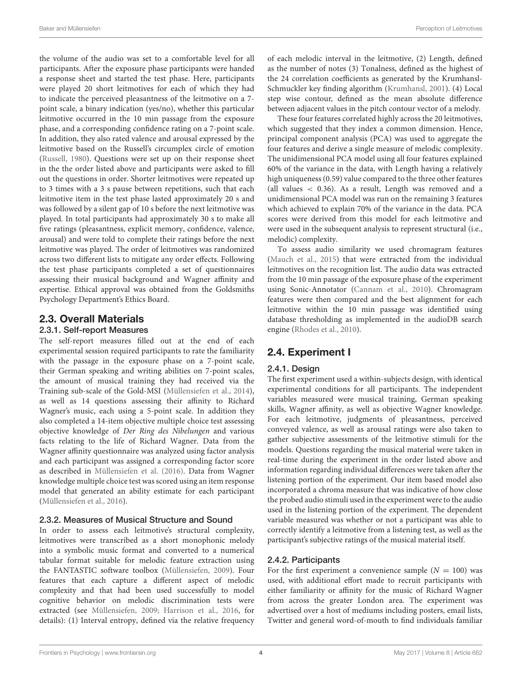the volume of the audio was set to a comfortable level for all participants. After the exposure phase participants were handed a response sheet and started the test phase. Here, participants were played 20 short leitmotives for each of which they had to indicate the perceived pleasantness of the leitmotive on a 7 point scale, a binary indication (yes/no), whether this particular leitmotive occurred in the 10 min passage from the exposure phase, and a corresponding confidence rating on a 7-point scale. In addition, they also rated valence and arousal expressed by the leitmotive based on the Russell's circumplex circle of emotion [\(Russell, 1980\)](#page-8-27). Questions were set up on their response sheet in the the order listed above and participants were asked to fill out the questions in order. Shorter leitmotives were repeated up to 3 times with a 3 s pause between repetitions, such that each leitmotive item in the test phase lasted approximately 20 s and was followed by a silent gap of 10 s before the next leitmotive was played. In total participants had approximately 30 s to make all five ratings (pleasantness, explicit memory, confidence, valence, arousal) and were told to complete their ratings before the next leitmotive was played. The order of leitmotives was randomized across two different lists to mitigate any order effects. Following the test phase participants completed a set of questionnaires assessing their musical background and Wagner affinity and expertise. Ethical approval was obtained from the Goldsmiths Psychology Department's Ethics Board.

## 2.3. Overall Materials

#### 2.3.1. Self-report Measures

The self-report measures filled out at the end of each experimental session required participants to rate the familiarity with the passage in the exposure phase on a 7-point scale, their German speaking and writing abilities on 7-point scales, the amount of musical training they had received via the Training sub-scale of the Gold-MSI [\(Müllensiefen et al., 2014\)](#page-8-9), as well as 14 questions assessing their affinity to Richard Wagner's music, each using a 5-point scale. In addition they also completed a 14-item objective multiple choice test assessing objective knowledge of Der Ring des Nibelungen and various facts relating to the life of Richard Wagner. Data from the Wagner affinity questionnaire was analyzed using factor analysis and each participant was assigned a corresponding factor score as described in [Müllensiefen et al. \(2016\)](#page-8-14). Data from Wagner knowledge multiple choice test was scored using an item response model that generated an ability estimate for each participant [\(Müllensiefen et al., 2016\)](#page-8-14).

## 2.3.2. Measures of Musical Structure and Sound

In order to assess each leitmotive's structural complexity, leitmotives were transcribed as a short monophonic melody into a symbolic music format and converted to a numerical tabular format suitable for melodic feature extraction using the FANTASTIC software toolbox [\(Müllensiefen, 2009\)](#page-8-28). Four features that each capture a different aspect of melodic complexity and that had been used successfully to model cognitive behavior on melodic discrimination tests were extracted (see [Müllensiefen, 2009;](#page-8-28) [Harrison et al., 2016,](#page-8-24) for details): (1) Interval entropy, defined via the relative frequency of each melodic interval in the leitmotive, (2) Length, defined as the number of notes (3) Tonalness, defined as the highest of the 24 correlation coefficients as generated by the Krumhansl-Schmuckler key finding algorithm [\(Krumhansl, 2001\)](#page-8-29). (4) Local step wise contour, defined as the mean absolute difference between adjacent values in the pitch contour vector of a melody.

These four features correlated highly across the 20 leitmotives, which suggested that they index a common dimension. Hence, principal component analysis (PCA) was used to aggregate the four features and derive a single measure of melodic complexity. The unidimensional PCA model using all four features explained 60% of the variance in the data, with Length having a relatively high uniqueness (0.59) value compared to the three other features (all values < 0.36). As a result, Length was removed and a unidimensional PCA model was run on the remaining 3 features which achieved to explain 70% of the variance in the data. PCA scores were derived from this model for each leitmotive and were used in the subsequent analysis to represent structural (i.e., melodic) complexity.

To assess audio similarity we used chromagram features [\(Mauch et al., 2015\)](#page-8-20) that were extracted from the individual leitmotives on the recognition list. The audio data was extracted from the 10 min passage of the exposure phase of the experiment using Sonic-Annotator [\(Cannam et al., 2010\)](#page-7-23). Chromagram features were then compared and the best alignment for each leitmotive within the 10 min passage was identified using database thresholding as implemented in the audioDB search engine [\(Rhodes et al., 2010\)](#page-8-30).

# 2.4. Experiment I

## 2.4.1. Design

The first experiment used a within-subjects design, with identical experimental conditions for all participants. The independent variables measured were musical training, German speaking skills, Wagner affinity, as well as objective Wagner knowledge. For each leitmotive, judgments of pleasantness, perceived conveyed valence, as well as arousal ratings were also taken to gather subjective assessments of the leitmotive stimuli for the models. Questions regarding the musical material were taken in real-time during the experiment in the order listed above and information regarding individual differences were taken after the listening portion of the experiment. Our item based model also incorporated a chroma measure that was indicative of how close the probed audio stimuli used in the experiment were to the audio used in the listening portion of the experiment. The dependent variable measured was whether or not a participant was able to correctly identify a leitmotive from a listening test, as well as the participant's subjective ratings of the musical material itself.

## 2.4.2. Participants

For the first experiment a convenience sample  $(N = 100)$  was used, with additional effort made to recruit participants with either familiarity or affinity for the music of Richard Wagner from across the greater London area. The experiment was advertised over a host of mediums including posters, email lists, Twitter and general word-of-mouth to find individuals familiar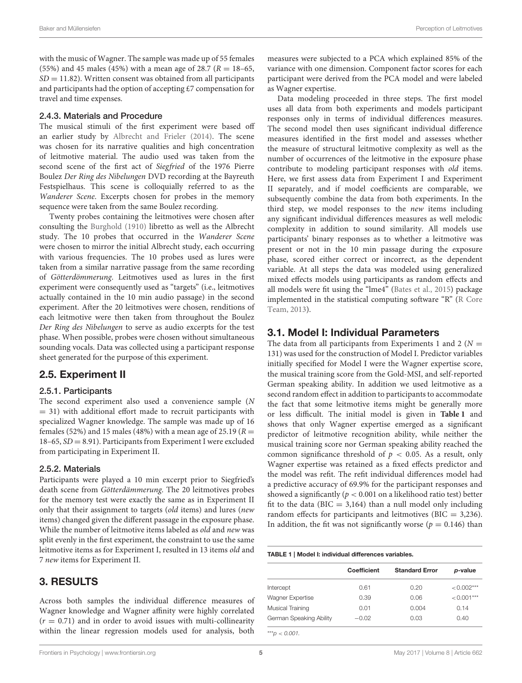with the music of Wagner. The sample was made up of 55 females (55%) and 45 males (45%) with a mean age of 28.7 ( $R = 18-65$ ,  $SD = 11.82$ ). Written consent was obtained from all participants and participants had the option of accepting £7 compensation for travel and time expenses.

#### 2.4.3. Materials and Procedure

The musical stimuli of the first experiment were based off an earlier study by [Albrecht and Frieler \(2014\)](#page-7-9). The scene was chosen for its narrative qualities and high concentration of leitmotive material. The audio used was taken from the second scene of the first act of Siegfried of the 1976 Pierre Boulez Der Ring des Nibelungen DVD recording at the Bayreuth Festspielhaus. This scene is colloquially referred to as the Wanderer Scene. Excerpts chosen for probes in the memory sequence were taken from the same Boulez recording.

Twenty probes containing the leitmotives were chosen after consulting the [Burghold \(1910\)](#page-7-24) libretto as well as the Albrecht study. The 10 probes that occurred in the Wanderer Scene were chosen to mirror the initial Albrecht study, each occurring with various frequencies. The 10 probes used as lures were taken from a similar narrative passage from the same recording of Götterdömmerung. Leitmotives used as lures in the first experiment were consequently used as "targets" (i.e., leitmotives actually contained in the 10 min audio passage) in the second experiment. After the 20 leitmotives were chosen, renditions of each leitmotive were then taken from throughout the Boulez Der Ring des Nibelungen to serve as audio excerpts for the test phase. When possible, probes were chosen without simultaneous sounding vocals. Data was collected using a participant response sheet generated for the purpose of this experiment.

## 2.5. Experiment II

#### 2.5.1. Participants

The second experiment also used a convenience sample (N  $=$  31) with additional effort made to recruit participants with specialized Wagner knowledge. The sample was made up of 16 females (52%) and 15 males (48%) with a mean age of 25.19 ( $R =$  $18-65$ ,  $SD = 8.91$ ). Participants from Experiment I were excluded from participating in Experiment II.

#### 2.5.2. Materials

Participants were played a 10 min excerpt prior to Siegfried's death scene from Götterdämmerung. The 20 leitmotives probes for the memory test were exactly the same as in Experiment II only that their assignment to targets (old items) and lures (new items) changed given the different passage in the exposure phase. While the number of leitmotive items labeled as old and new was split evenly in the first experiment, the constraint to use the same leitmotive items as for Experiment I, resulted in 13 items old and 7 new items for Experiment II.

## 3. RESULTS

Across both samples the individual difference measures of Wagner knowledge and Wagner affinity were highly correlated  $(r = 0.71)$  and in order to avoid issues with multi-collinearity within the linear regression models used for analysis, both measures were subjected to a PCA which explained 85% of the variance with one dimension. Component factor scores for each participant were derived from the PCA model and were labeled as Wagner expertise.

Data modeling proceeded in three steps. The first model uses all data from both experiments and models participant responses only in terms of individual differences measures. The second model then uses significant individual difference measures identified in the first model and assesses whether the measure of structural leitmotive complexity as well as the number of occurrences of the leitmotive in the exposure phase contribute to modeling participant responses with old items. Here, we first assess data from Experiment I and Experiment II separately, and if model coefficients are comparable, we subsequently combine the data from both experiments. In the third step, we model responses to the new items including any significant individual differences measures as well melodic complexity in addition to sound similarity. All models use participants' binary responses as to whether a leitmotive was present or not in the 10 min passage during the exposure phase, scored either correct or incorrect, as the dependent variable. At all steps the data was modeled using generalized mixed effects models using participants as random effects and all models were fit using the "lme4" [\(Bates et al., 2015\)](#page-7-25) package implemented in the statistical computing software "R" (R Core Team, [2013\)](#page-8-31).

## 3.1. Model I: Individual Parameters

The data from all participants from Experiments 1 and 2 ( $N =$ 131) was used for the construction of Model I. Predictor variables initially specified for Model I were the Wagner expertise score, the musical training score from the Gold-MSI, and self-reported German speaking ability. In addition we used leitmotive as a second random effect in addition to participants to accommodate the fact that some leitmotive items might be generally more or less difficult. The initial model is given in **[Table 1](#page-4-0)** and shows that only Wagner expertise emerged as a significant predictor of leitmotive recognition ability, while neither the musical training score nor German speaking ability reached the common significance threshold of  $p < 0.05$ . As a result, only Wagner expertise was retained as a fixed effects predictor and the model was refit. The refit individual differences model had a predictive accuracy of 69.9% for the participant responses and showed a significantly ( $p < 0.001$  on a likelihood ratio test) better fit to the data ( $BIC = 3,164$ ) than a null model only including random effects for participants and leitmotives ( $BIC = 3,236$ ). In addition, the fit was not significantly worse ( $p = 0.146$ ) than

#### <span id="page-4-0"></span>TABLE 1 | Model I: individual differences variables.

|                         | <b>Coefficient</b> | <b>Standard Error</b> | p-value      |
|-------------------------|--------------------|-----------------------|--------------|
| Intercept               | 0.61               | 0.20                  | $< 0.002***$ |
| <b>Wagner Expertise</b> | 0.39               | 0.06                  | $< 0.001***$ |
| Musical Training        | 0.01               | 0.004                 | 0.14         |
| German Speaking Ability | $-0.02$            | 0.03                  | 0.40         |

\*\*\*p  $< 0.001$ .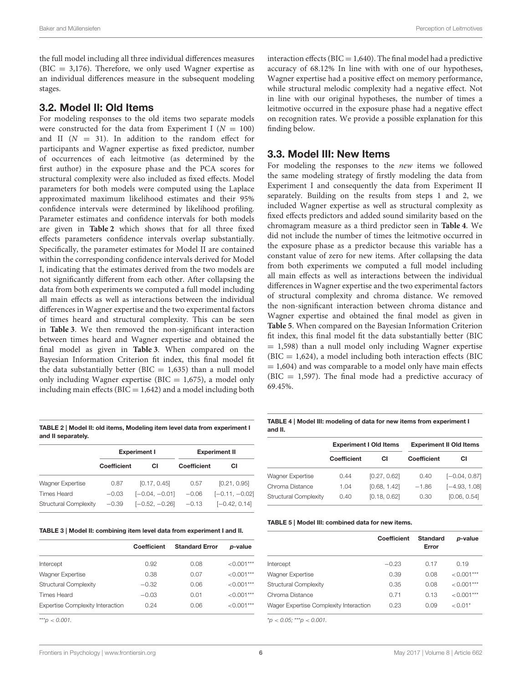the full model including all three individual differences measures  $(BIC = 3,176)$ . Therefore, we only used Wagner expertise as an individual differences measure in the subsequent modeling stages.

## 3.2. Model II: Old Items

For modeling responses to the old items two separate models were constructed for the data from Experiment I ( $N = 100$ ) and II  $(N = 31)$ . In addition to the random effect for participants and Wagner expertise as fixed predictor, number of occurrences of each leitmotive (as determined by the first author) in the exposure phase and the PCA scores for structural complexity were also included as fixed effects. Model parameters for both models were computed using the Laplace approximated maximum likelihood estimates and their 95% confidence intervals were determined by likelihood profiling. Parameter estimates and confidence intervals for both models are given in **Table 2** which shows that for all three fixed effects parameters confidence intervals overlap substantially. Specifically, the parameter estimates for Model II are contained within the corresponding confidence intervals derived for Model I, indicating that the estimates derived from the two models are not significantly different from each other. After collapsing the data from both experiments we computed a full model including all main effects as well as interactions between the individual differences in Wagner expertise and the two experimental factors of times heard and structural complexity. This can be seen in **[Table 3](#page-5-0)**. We then removed the non-significant interaction between times heard and Wagner expertise and obtained the final model as given in **[Table 3](#page-5-0)**. When compared on the Bayesian Information Criterion fit index, this final model fit the data substantially better ( $BIC = 1,635$ ) than a null model only including Wagner expertise (BIC =  $1,675$ ), a model only including main effects ( $BIC = 1,642$ ) and a model including both

TABLE 2 | Model II: old items, Modeling item level data from experiment I and II separately.

|                              | <b>Experiment I</b> |                  | <b>Experiment II</b> |                  |
|------------------------------|---------------------|------------------|----------------------|------------------|
|                              | Coefficient         | СI               | Coefficient          | СI               |
| <b>Wagner Expertise</b>      | 0.87                | [0.17, 0.45]     | 0.57                 | [0.21, 0.95]     |
| <b>Times Heard</b>           | $-0.03$             | $[-0.04, -0.01]$ | $-0.06$              | $[-0.11, -0.02]$ |
| <b>Structural Complexity</b> | $-0.39$             | $[-0.52, -0.26]$ | $-0.13$              | $[-0.42, 0.14]$  |

<span id="page-5-0"></span>TABLE 3 | Model II: combining item level data from experiment I and II.

|                                         | <b>Coefficient</b> | <b>Standard Error</b> | <i>p</i> -value |
|-----------------------------------------|--------------------|-----------------------|-----------------|
|                                         |                    |                       |                 |
| Intercept                               | 0.92               | 0.08                  | $< 0.001***$    |
| Wagner Expertise                        | 0.38               | 0.07                  | $< 0.001***$    |
| <b>Structural Complexity</b>            | $-0.32$            | 0.06                  | $< 0.001***$    |
| Times Heard                             | $-0.03$            | 0.01                  | $<0.001***$     |
| <b>Expertise Complexity Interaction</b> | 0.24               | 0.06                  | $< 0.001***$    |
|                                         |                    |                       |                 |

 $***p < 0.001$ .

interaction effects ( $BIC = 1,640$ ). The final model had a predictive accuracy of 68.12% In line with with one of our hypotheses, Wagner expertise had a positive effect on memory performance, while structural melodic complexity had a negative effect. Not in line with our original hypotheses, the number of times a leitmotive occurred in the exposure phase had a negative effect on recognition rates. We provide a possible explanation for this finding below.

## 3.3. Model III: New Items

For modeling the responses to the new items we followed the same modeling strategy of firstly modeling the data from Experiment I and consequently the data from Experiment II separately. Building on the results from steps 1 and 2, we included Wagner expertise as well as structural complexity as fixed effects predictors and added sound similarity based on the chromagram measure as a third predictor seen in **[Table 4](#page-5-1)**. We did not include the number of times the leitmotive occurred in the exposure phase as a predictor because this variable has a constant value of zero for new items. After collapsing the data from both experiments we computed a full model including all main effects as well as interactions between the individual differences in Wagner expertise and the two experimental factors of structural complexity and chroma distance. We removed the non-significant interaction between chroma distance and Wagner expertise and obtained the final model as given in **[Table 5](#page-5-2)**. When compared on the Bayesian Information Criterion fit index, this final model fit the data substantially better (BIC  $= 1,598$ ) than a null model only including Wagner expertise  $(BIC = 1,624)$ , a model including both interaction effects (BIC  $= 1,604$ ) and was comparable to a model only have main effects (BIC  $= 1,597$ ). The final mode had a predictive accuracy of 69.45%.

<span id="page-5-1"></span>TABLE 4 | Model III: modeling of data for new items from experiment I and II.

|                              | <b>Experiment I Old Items</b> |              | <b>Experiment II Old Items</b> |                 |
|------------------------------|-------------------------------|--------------|--------------------------------|-----------------|
|                              | <b>Coefficient</b>            | СI           | <b>Coefficient</b>             | СI              |
| Wagner Expertise             | 0.44                          | [0.27, 0.62] | 0.40                           | $[-0.04, 0.87]$ |
| Chroma Distance              | 1.04                          | [0.68, 1.42] | $-1.86$                        | $[-4.93, 1.08]$ |
| <b>Structural Complexity</b> | 0.40                          | [0.18, 0.62] | 0.30                           | [0.06, 0.54]    |

<span id="page-5-2"></span>TABLE 5 | Model III: combined data for new items.

|                                        | <b>Coefficient</b> | Standard<br>Error | p-value      |
|----------------------------------------|--------------------|-------------------|--------------|
| Intercept                              | $-0.23$            | 0.17              | 0.19         |
| Wagner Expertise                       | 0.39               | 0.08              | $< 0.001***$ |
| <b>Structural Complexity</b>           | 0.35               | 0.08              | $< 0.001***$ |
| Chroma Distance                        | O 71               | 0.13              | $< 0.001***$ |
| Wager Expertise Complexity Interaction | 0.23               | 0.09              | $< 0.01*$    |

 $p^*$  < 0.05; \*\*\* p < 0.001.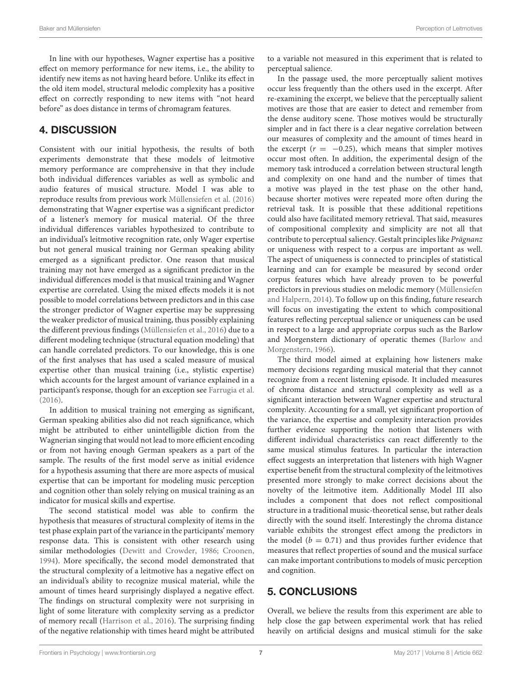In line with our hypotheses, Wagner expertise has a positive effect on memory performance for new items, i.e., the ability to identify new items as not having heard before. Unlike its effect in the old item model, structural melodic complexity has a positive effect on correctly responding to new items with "not heard before" as does distance in terms of chromagram features.

# 4. DISCUSSION

Consistent with our initial hypothesis, the results of both experiments demonstrate that these models of leitmotive memory performance are comprehensive in that they include both individual differences variables as well as symbolic and audio features of musical structure. Model I was able to reproduce results from previous work [Müllensiefen et al. \(2016\)](#page-8-14) demonstrating that Wagner expertise was a significant predictor of a listener's memory for musical material. Of the three individual differences variables hypothesized to contribute to an individual's leitmotive recognition rate, only Wager expertise but not general musical training nor German speaking ability emerged as a significant predictor. One reason that musical training may not have emerged as a significant predictor in the individual differences model is that musical training and Wagner expertise are correlated. Using the mixed effects models it is not possible to model correlations between predictors and in this case the stronger predictor of Wagner expertise may be suppressing the weaker predictor of musical training, thus possibly explaining the different previous findings [\(Müllensiefen et al., 2016\)](#page-8-14) due to a different modeling technique (structural equation modeling) that can handle correlated predictors. To our knowledge, this is one of the first analyses that has used a scaled measure of musical expertise other than musical training (i.e., stylistic expertise) which accounts for the largest amount of variance explained in a participant's response, though for an exception see [Farrugia et al.](#page-8-32) [\(2016\)](#page-8-32).

In addition to musical training not emerging as significant, German speaking abilities also did not reach significance, which might be attributed to either unintelligible diction from the Wagnerian singing that would not lead to more efficient encoding or from not having enough German speakers as a part of the sample. The results of the first model serve as initial evidence for a hypothesis assuming that there are more aspects of musical expertise that can be important for modeling music perception and cognition other than solely relying on musical training as an indicator for musical skills and expertise.

The second statistical model was able to confirm the hypothesis that measures of structural complexity of items in the test phase explain part of the variance in the participants' memory response data. This is consistent with other research using similar methodologies [\(Dewitt and Crowder, 1986;](#page-7-26) [Croonen,](#page-7-27) [1994\)](#page-7-27). More specifically, the second model demonstrated that the structural complexity of a leitmotive has a negative effect on an individual's ability to recognize musical material, while the amount of times heard surprisingly displayed a negative effect. The findings on structural complexity were not surprising in light of some literature with complexity serving as a predictor of memory recall [\(Harrison et al., 2016\)](#page-8-24). The surprising finding of the negative relationship with times heard might be attributed to a variable not measured in this experiment that is related to perceptual salience.

In the passage used, the more perceptually salient motives occur less frequently than the others used in the excerpt. After re-examining the excerpt, we believe that the perceptually salient motives are those that are easier to detect and remember from the dense auditory scene. Those motives would be structurally simpler and in fact there is a clear negative correlation between our measures of complexity and the amount of times heard in the excerpt  $(r = -0.25)$ , which means that simpler motives occur most often. In addition, the experimental design of the memory task introduced a correlation between structural length and complexity on one hand and the number of times that a motive was played in the test phase on the other hand, because shorter motives were repeated more often during the retrieval task. It is possible that these additional repetitions could also have facilitated memory retrieval. That said, measures of compositional complexity and simplicity are not all that contribute to perceptual saliency. Gestalt principles like Prägnanz or uniqueness with respect to a corpus are important as well. The aspect of uniqueness is connected to principles of statistical learning and can for example be measured by second order corpus features which have already proven to be powerful predictors in previous studies on melodic memory (Müllensiefen and Halpern, [2014\)](#page-8-16). To follow up on this finding, future research will focus on investigating the extent to which compositional features reflecting perceptual salience or uniqueness can be used in respect to a large and appropriate corpus such as the Barlow and Morgenstern dictionary of operatic themes (Barlow and Morgenstern, [1966\)](#page-7-28).

The third model aimed at explaining how listeners make memory decisions regarding musical material that they cannot recognize from a recent listening episode. It included measures of chroma distance and structural complexity as well as a significant interaction between Wagner expertise and structural complexity. Accounting for a small, yet significant proportion of the variance, the expertise and complexity interaction provides further evidence supporting the notion that listeners with different individual characteristics can react differently to the same musical stimulus features. In particular the interaction effect suggests an interpretation that listeners with high Wagner expertise benefit from the structural complexity of the leitmotives presented more strongly to make correct decisions about the novelty of the leitmotive item. Additionally Model III also includes a component that does not reflect compositional structure in a traditional music-theoretical sense, but rather deals directly with the sound itself. Interestingly the chroma distance variable exhibits the strongest effect among the predictors in the model ( $b = 0.71$ ) and thus provides further evidence that measures that reflect properties of sound and the musical surface can make important contributions to models of music perception and cognition.

# 5. CONCLUSIONS

Overall, we believe the results from this experiment are able to help close the gap between experimental work that has relied heavily on artificial designs and musical stimuli for the sake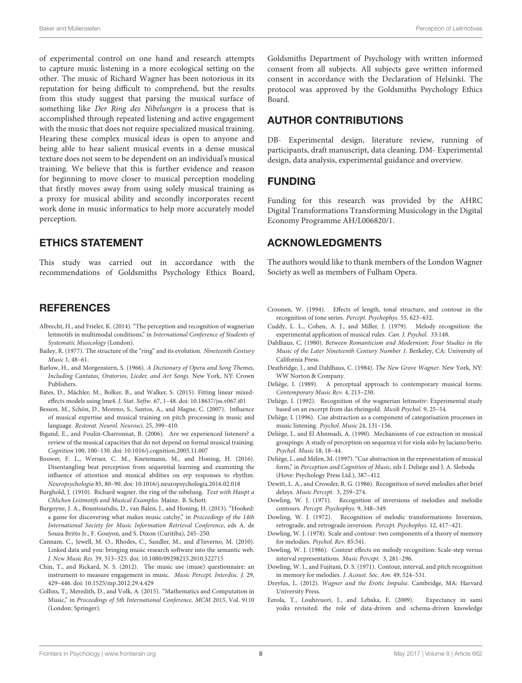Baker and Müllensiefen Perception of Leitmotives

of experimental control on one hand and research attempts to capture music listening in a more ecological setting on the other. The music of Richard Wagner has been notorious in its reputation for being difficult to comprehend, but the results from this study suggest that parsing the musical surface of something like Der Ring des Nibelungen is a process that is accomplished through repeated listening and active engagement with the music that does not require specialized musical training. Hearing these complex musical ideas is open to anyone and being able to hear salient musical events in a dense musical texture does not seem to be dependent on an individual's musical training. We believe that this is further evidence and reason for beginning to move closer to musical perception modeling that firstly moves away from using solely musical training as a proxy for musical ability and secondly incorporates recent work done in music informatics to help more accurately model perception.

## ETHICS STATEMENT

This study was carried out in accordance with the recommendations of Goldsmiths Psychology Ethics Board,

## **REFERENCES**

- <span id="page-7-9"></span>Albrecht, H., and Frieler, K. (2014). "The perception and recognition of wagnerian leitmotifs in multimodal conditions," in International Conference of Students of Systematic Musicology (London).
- <span id="page-7-0"></span>Bailey, R. (1977). The structure of the "ring" and its evolution. Nineteenth Century Music 1, 48–61.
- <span id="page-7-28"></span>Barlow, H., and Morgenstern, S. (1966). A Dictionary of Opera and Song Themes, Including Cantatas, Oratorios, Lieder, and Art Songs. New York, NY: Crown Publishers.
- <span id="page-7-25"></span>Bates, D., Mächler, M., Bolker, B., and Walker, S. (2015). Fitting linear mixedeffects models using lme4. J. Stat. Softw. 67, 1–48. doi: [10.18637/jss.v067.i01](https://doi.org/10.18637/jss.v067.i01)
- <span id="page-7-10"></span>Besson, M., Schön, D., Moreno, S., Santos, A., and Magne, C. (2007). Influence of musical expertise and musical training on pitch processing in music and language. Restorat. Neurol. Neurosci. 25, 399–410.
- <span id="page-7-13"></span>Bigand, E., and Poulin-Charronnat, B. (2006). Are we experienced listeners? a review of the musical capacities that do not depend on formal musical training. Cognition 100, 100–130. doi: [10.1016/j.cognition.2005.11.007](https://doi.org/10.1016/j.cognition.2005.11.007)
- <span id="page-7-12"></span>Bouwer, F. L., Werner, C. M., Knetemann, M., and Honing, H. (2016). Disentangling beat perception from sequential learning and examining the influence of attention and musical abilities on erp responses to rhythm. Neuropsychologia 85, 80–90. doi: [10.1016/j.neuropsychologia.2016.02.018](https://doi.org/10.1016/j.neuropsychologia.2016.02.018)
- <span id="page-7-24"></span>Burghold, J. (1910). Richard wagner. the ring of the nibelung. Text with Haupt a Chlichen Leitmotifs and Musical Examples. Mainz:. B. Schott.
- <span id="page-7-20"></span>Burgoyne, J. A., Bountouridis, D., van Balen, J., and Honing, H. (2013). "Hooked: a game for discovering what makes music catchy," in Proceedings of the 14th International Society for Music Information Retrieval Conference, eds A. de Souza Britto Jr., F. Gouyon, and S. Dixon (Curitiba), 245–250.
- <span id="page-7-23"></span>Cannam, C., Jewell, M. O., Rhodes, C., Sandler, M., and d'Inverno, M. (2010). Linked data and you: bringing music research software into the semantic web. J. New Music Res. 39, 313–325. doi: [10.1080/09298215.2010.522715](https://doi.org/10.1080/09298215.2010.522715)
- <span id="page-7-11"></span>Chin, T., and Rickard, N. S. (2012). The music use (muse) questionnaire: an instrument to measure engagement in music. Music Percept. Interdisc. J. 29, 429–446. doi: [10.1525/mp.2012.29.4.429](https://doi.org/10.1525/mp.2012.29.4.429)
- <span id="page-7-19"></span>Collins, T., Meredith, D., and Volk, A. (2015). "Mathematics and Computation in Music," in Proceedings of 5th International Conference, MCM 2015, Vol. 9110 (London: Springer).

Goldsmiths Department of Psychology with written informed consent from all subjects. All subjects gave written informed consent in accordance with the Declaration of Helsinki. The protocol was approved by the Goldsmiths Psychology Ethics Board.

# AUTHOR CONTRIBUTIONS

DB- Experimental design, literature review, running of participants, draft manuscript, data cleaning. DM- Experimental design, data analysis, experimental guidance and overview.

## FUNDING

Funding for this research was provided by the AHRC Digital Transformations Transforming Musicology in the Digital Economy Programme AH/L006820/1.

## ACKNOWLEDGMENTS

The authors would like to thank members of the London Wagner Society as well as members of Fulham Opera.

- <span id="page-7-27"></span>Croonen, W. (1994). Effects of length, tonal structure, and contour in the recognition of tone series. Percept. Psychophys. 55, 623–632.
- <span id="page-7-18"></span>Cuddy, L. L., Cohen, A. J., and Miller, J. (1979). Melody recognition: the experimental application of musical rules. Can. J. Psychol. 33:148.
- <span id="page-7-3"></span>Dahlhaus, C. (1980). Between Romanticism and Modernism: Four Studies in the Music of the Later Nineteenth Century Number 1. Berkeley, CA: University of California Press.
- <span id="page-7-1"></span>Deathridge, J., and Dahlhaus, C. (1984). The New Grove Wagner. New York, NY: WW Norton & Company.
- <span id="page-7-8"></span>Deliège, I. (1989). A perceptual approach to contemporary musical forms. Contemporary Music Rev. 4, 213–230.
- <span id="page-7-4"></span>Deliège, I. (1992). Recognition of the wagnerian leitmotiv: Experimental study based on an excerpt from das rheingold. Musik Psychol. 9, 25–54.
- <span id="page-7-6"></span>Deliège, I. (1996). Cue abstraction as a component of categorisation processes in music listening. Psychol. Music 24, 131–156.
- <span id="page-7-7"></span>Deliège, I., and El Ahnmadi, A. (1990). Mechanisms of cue extraction in musical groupings: A study of perception on sequenza vi for viola solo by luciano berio. Psychol. Music 18, 18–44.
- <span id="page-7-5"></span>Deliège, I., and Mélen, M. (1997). "Cue abstraction in the representation of musical form," in Perception and Cognition of Music, eds I. Deliege and J. A. Sloboda (Hove: Psychology Press Ltd.), 387–412.
- <span id="page-7-26"></span>Dewitt, L. A., and Crowder, R. G. (1986). Recognition of novel melodies after brief delays. Music Percept. 3, 259–274.
- <span id="page-7-15"></span>Dowling, W. J. (1971). Recognition of inversions of melodies and melodie contours. Percept. Psychophys. 9, 348–349.
- <span id="page-7-16"></span>Dowling, W. J. (1972). Recognition of melodic transformations: Inversion, retrograde, and retrograde inversion. Percept. Psychophys. 12, 417–421.
- <span id="page-7-21"></span>Dowling, W. J. (1978). Scale and contour: two components of a theory of memory for melodies. Psychol. Rev. 85:341.
- <span id="page-7-22"></span>Dowling, W. J. (1986). Context effects on melody recognition: Scale-step versus interval representations. Music Percept. 3, 281–296.
- <span id="page-7-17"></span>Dowling, W. J., and Fujitani, D. S. (1971). Contour, interval, and pitch recognition in memory for melodies. J. Acoust. Soc. Am. 49, 524–531.
- <span id="page-7-2"></span>Dreyfus, L. (2012). Wagner and the Erotic Impulse. Cambridge, MA: Harvard University Press.
- <span id="page-7-14"></span>Eerola, T., Louhivuori, J., and Lebaka, E. (2009). Expectancy in sami yoiks revisited: the role of data-driven and schema-driven knowledge